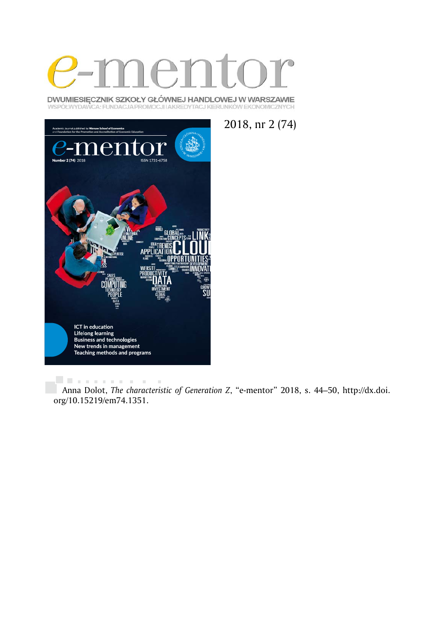

DWUMIESIĘCZNIK SZKOŁY GŁÓWNEJ HANDLOWEJ W WARSZAWIE WSPÓŁWYDAWCA: FUNDACJA PROMOCJI I AKREDYTACJ KIERUNKÓW EKONOMICZNYCH



2018, nr 2 (74)

. . . . . . . . . . . . Anna Dolot, *The characteristic of Generation Z*, "e-mentor" 2018, s. 44–50, http://dx.doi. org/10.15219/em74.1351.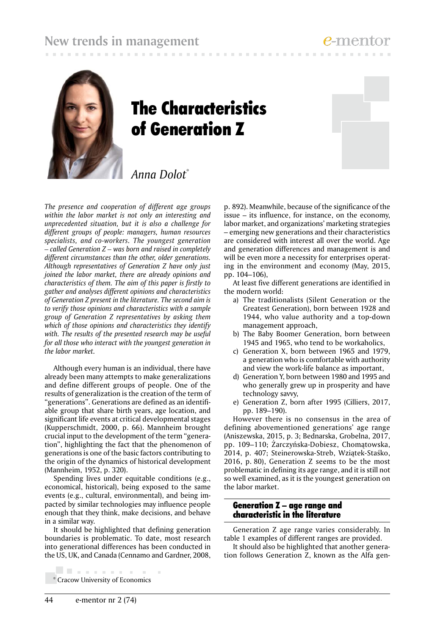

# The Characteristics of Generation Z

# *Anna Dolot*\*

*The presence and cooperation of different age groups within the labor market is not only an interesting and unprecedented situation, but it is also a challenge for different groups of people: managers, human resources specialists, and co-workers. The youngest generation – called Generation Z – was born and raised in completely different circumstances than the other, older generations. Although representatives of Generation Z have only just joined the labor market, there are already opinions and characteristics of them. The aim of this paper is firstly to gather and analyses different opinions and characteristics of Generation Z present in the literature. The second aim is to verify those opinions and characteristics with a sample group of Generation Z representatives by asking them which of those opinions and characteristics they identify with. The results of the presented research may be useful for all those who interact with the youngest generation in the labor market.* 

Although every human is an individual, there have already been many attempts to make generalizations and define different groups of people. One of the results of generalization is the creation of the term of "generations". Generations are defined as an identifiable group that share birth years, age location, and significant life events at critical developmental stages (Kupperschmidt, 2000, p. 66). Mannheim brought crucial input to the development of the term "generation", highlighting the fact that the phenomenon of generations is one of the basic factors contributing to the origin of the dynamics of historical development (Mannheim, 1952, p. 320).

Spending lives under equitable conditions (e.g., economical, historical), being exposed to the same events (e.g., cultural, environmental), and being impacted by similar technologies may influence people enough that they think, make decisions, and behave in a similar way.

It should be highlighted that defining generation boundaries is problematic. To date, most research into generational differences has been conducted in the US, UK, and Canada (Cennamo and Gardner, 2008,

. . . . . . . . . . . \* Cracow University of Economics

p. 892). Meanwhile, because of the significance of the issue – its influence, for instance, on the economy, labor market, and organizations' marketing strategies – emerging new generations and their characteristics are considered with interest all over the world. Age and generation differences and management is and will be even more a necessity for enterprises operating in the environment and economy (May, 2015, pp. 104–106),

**CONTRACTOR** 

At least five different generations are identified in the modern world:

- a) The traditionalists (Silent Generation or the Greatest Generation), born between 1928 and 1944, who value authority and a top-down management approach,
- b) The Baby Boomer Generation, born between 1945 and 1965, who tend to be workaholics,
- c) Generation X, born between 1965 and 1979, a generation who is comfortable with authority and view the work-life balance as important,
- d) Generation Y, born between 1980 and 1995 and who generally grew up in prosperity and have technology savvy,
- e) Generation Z, born after 1995 (Cilliers, 2017, pp. 189–190).

However there is no consensus in the area of defining abovementioned generations' age range (Aniszewska, 2015, p. 3; Bednarska, Grobelna, 2017, pp. 109–110; Żarczyńska-Dobiesz, Chomątowska, 2014, p. 407; Steinerowska-Streb, Wziątek-Staśko, 2016, p. 80), Generation Z seems to be the most problematic in defining its age range, and it is still not so well examined, as it is the youngest generation on the labor market.

#### Generation Z – age range and characteristic in the literature

Generation Z age range varies considerably. In table 1 examples of different ranges are provided.

It should also be highlighted that another generation follows Generation Z, known as the Alfa gen-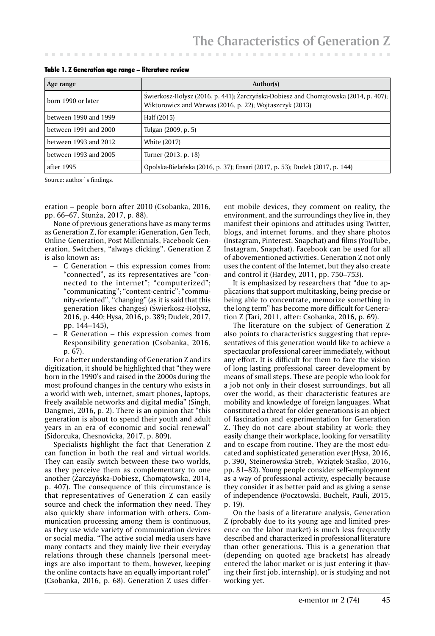| Age range             | Author(s)                                                                                                                                       |
|-----------------------|-------------------------------------------------------------------------------------------------------------------------------------------------|
| born 1990 or later    | Świerkosz-Hołysz (2016, p. 441); Żarczyńska-Dobiesz and Chomatowska (2014, p. 407);<br>Wiktorowicz and Warwas (2016, p. 22); Wojtaszczyk (2013) |
| between 1990 and 1999 | Half (2015)                                                                                                                                     |
| between 1991 and 2000 | Tulgan (2009, p. 5)                                                                                                                             |
| between 1993 and 2012 | <b>White (2017)</b>                                                                                                                             |
| between 1993 and 2005 | Turner (2013, p. 18)                                                                                                                            |
| after 1995            | Opolska-Bielańska (2016, p. 37); Ensari (2017, p. 53); Dudek (2017, p. 144)                                                                     |

Table 1. Z Generation age range – literature review

Source: author`s findings.

eration – people born after 2010 (Csobanka, 2016, pp. 66–67, Stunża, 2017, p. 88).

None of previous generations have as many terms as Generation Z, for example: iGeneration, Gen Tech, Online Generation, Post Millennials, Facebook Generation, Switchers, "always clicking". Generation Z is also known as:

- C Generation this expression comes from: "connected", as its representatives are "connected to the internet"; "computerized"; "communicating"; "content-centric"; "community-oriented", "changing" (as it is said that this generation likes changes) (Świerkosz-Hołysz, 2016, p. 440; Hysa, 2016, p. 389; Dudek, 2017, pp. 144–145),
- R Generation this expression comes from Responsibility generation (Csobanka, 2016, p. 67).

For a better understanding of Generation Z and its digitization, it should be highlighted that "they were born in the 1990's and raised in the 2000s during the most profound changes in the century who exists in a world with web, internet, smart phones, laptops, freely available networks and digital media" (Singh, Dangmei, 2016, p. 2). There is an opinion that "this generation is about to spend their youth and adult years in an era of economic and social renewal" (Sidorcuka, Chesnovicka, 2017, p. 809).

Specialists highlight the fact that Generation Z can function in both the real and virtual worlds. They can easily switch between these two worlds, as they perceive them as complementary to one another (Żarczyńska-Dobiesz, Chomątowska, 2014, p. 407). The consequence of this circumstance is that representatives of Generation Z can easily source and check the information they need. They also quickly share information with others. Communication processing among them is continuous, as they use wide variety of communication devices or social media. "The active social media users have many contacts and they mainly live their everyday relations through these channels (personal meetings are also important to them, however, keeping the online contacts have an equally important role)" (Csobanka, 2016, p. 68). Generation Z uses different mobile devices, they comment on reality, the environment, and the surroundings they live in, they manifest their opinions and attitudes using Twitter, blogs, and internet forums, and they share photos (Instagram, Pinterest, Snapchat) and films (YouTube, Instagram, Snapchat). Facebook can be used for all of abovementioned activities. Generation Z not only uses the content of the Internet, but they also create and control it (Hardey, 2011, pp. 750–753).

It is emphasized by researchers that "due to applications that support multitasking, being precise or being able to concentrate, memorize something in the long term" has become more difficult for Generation Z (Tari, 2011, after: Csobanka, 2016, p. 69).

The literature on the subject of Generation Z also points to characteristics suggesting that representatives of this generation would like to achieve a spectacular professional career immediately, without any effort. It is difficult for them to face the vision of long lasting professional career development by means of small steps. These are people who look for a job not only in their closest surroundings, but all over the world, as their characteristic features are mobility and knowledge of foreign languages. What constituted a threat for older generations is an object of fascination and experimentation for Generation Z. They do not care about stability at work; they easily change their workplace, looking for versatility and to escape from routine. They are the most educated and sophisticated generation ever (Hysa, 2016, p. 390, Steinerowska-Streb, Wziątek-Staśko, 2016, pp. 81–82). Young people consider self-employment as a way of professional activity, especially because they consider it as better paid and as giving a sense of independence (Pocztowski, Buchelt, Pauli, 2015, p. 19).

On the basis of a literature analysis, Generation Z (probably due to its young age and limited presence on the labor market) is much less frequently described and characterized in professional literature than other generations. This is a generation that (depending on quoted age brackets) has already entered the labor market or is just entering it (having their first job, internship), or is studying and not working yet.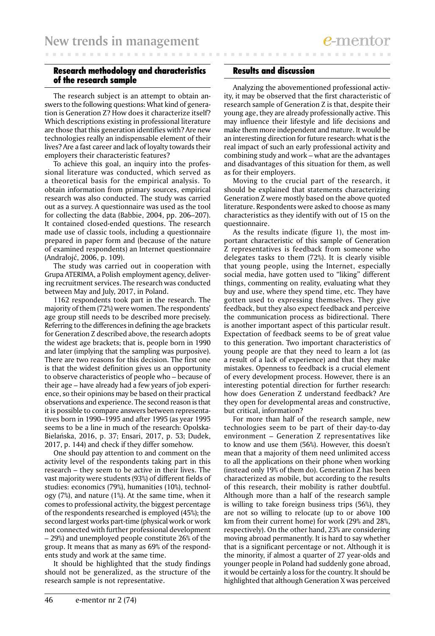## Research methodology and characteristics of the research sample

The research subject is an attempt to obtain answers to the following questions: What kind of generation is Generation Z? How does it characterize itself? Which descriptions existing in professional literature are those that this generation identifies with? Are new technologies really an indispensable element of their lives? Are a fast career and lack of loyalty towards their employers their characteristic features?

To achieve this goal, an inquiry into the professional literature was conducted, which served as a theoretical basis for the empirical analysis. To obtain information from primary sources, empirical research was also conducted. The study was carried out as a survey. A questionnaire was used as the tool for collecting the data (Babbie, 2004, pp. 206–207). It contained closed-ended questions. The research made use of classic tools, including a questionnaire prepared in paper form and (because of the nature of examined respondents) an Internet questionnaire (Andrałojć, 2006, p. 109).

The study was carried out in cooperation with Grupa ATERIMA, a Polish employment agency, delivering recruitment services. The research was conducted between May and July, 2017, in Poland.

1162 respondents took part in the research. The majority of them (72%) were women. The respondents' age group still needs to be described more precisely. Referring to the differences in defining the age brackets for Generation Z described above, the research adopts the widest age brackets; that is, people born in 1990 and later (implying that the sampling was purposive). There are two reasons for this decision. The first one is that the widest definition gives us an opportunity to observe characteristics of people who – because of their age – have already had a few years of job experience, so their opinions may be based on their practical observations and experience. The second reason is that it is possible to compare answers between representatives born in 1990–1995 and after 1995 (as year 1995 seems to be a line in much of the research: Opolska-Bielańska, 2016, p. 37; Ensari, 2017, p. 53; Dudek, 2017, p. 144) and check if they differ somehow.

One should pay attention to and comment on the activity level of the respondents taking part in this research – they seem to be active in their lives. The vast majority were students (93%) of different fields of studies: economics (79%), humanities (10%), technology (7%), and nature (1%). At the same time, when it comes to professional activity, the biggest percentage of the respondents researched is employed (45%); the second largest works part-time (physical work or work not connected with further professional development – 29%) and unemployed people constitute 26% of the group. It means that as many as 69% of the respondents study and work at the same time.

It should be highlighted that the study findings should not be generalized, as the structure of the research sample is not representative.

### Results and discussion

Analyzing the abovementioned professional activity, it may be observed that the first characteristic of research sample of Generation Z is that, despite their young age, they are already professionally active. This may influence their lifestyle and life decisions and make them more independent and mature. It would be an interesting direction for future research: what is the real impact of such an early professional activity and combining study and work – what are the advantages and disadvantages of this situation for them, as well as for their employers.

Moving to the crucial part of the research, it should be explained that statements characterizing Generation Z were mostly based on the above quoted literature. Respondents were asked to choose as many characteristics as they identify with out of 15 on the questionnaire.

As the results indicate (figure 1), the most important characteristic of this sample of Generation Z representatives is feedback from someone who delegates tasks to them (72%). It is clearly visible that young people, using the Internet, especially social media, have gotten used to "liking" different things, commenting on reality, evaluating what they buy and use, where they spend time, etc. They have gotten used to expressing themselves. They give feedback, but they also expect feedback and perceive the communication process as bidirectional. There is another important aspect of this particular result. Expectation of feedback seems to be of great value to this generation. Two important characteristics of young people are that they need to learn a lot (as a result of a lack of experience) and that they make mistakes. Openness to feedback is a crucial element of every development process. However, there is an interesting potential direction for further research: how does Generation Z understand feedback? Are they open for developmental areas and constructive, but critical, information?

For more than half of the research sample, new technologies seem to be part of their day-to-day environment – Generation Z representatives like to know and use them (56%). However, this doesn't mean that a majority of them need unlimited access to all the applications on their phone when working (instead only 19% of them do). Generation Z has been characterized as mobile, but according to the results of this research, their mobility is rather doubtful. Although more than a half of the research sample is willing to take foreign business trips (56%), they are not so willing to relocate (up to or above 100 km from their current home) for work (29% and 28%, respectively). On the other hand, 23% are considering moving abroad permanently. It is hard to say whether that is a significant percentage or not. Although it is the minority, if almost a quarter of 27 year-olds and younger people in Poland had suddenly gone abroad, it would be certainly a loss for the country. It should be highlighted that although Generation X was perceived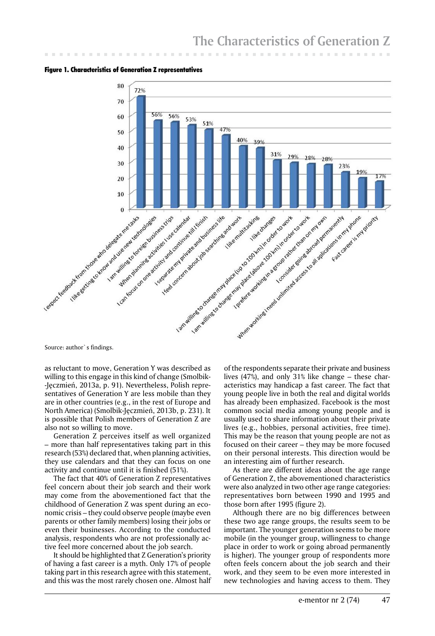Figure 1. Characteristics of Generation Z representatives



Source: author`s findings.

as reluctant to move, Generation Y was described as willing to this engage in this kind of change (Smolbik- -Jęczmień, 2013a, p. 91). Nevertheless, Polish representatives of Generation Y are less mobile than they are in other countries (e.g., in the rest of Europe and North America) (Smolbik-Jęczmień, 2013b, p. 231). It is possible that Polish members of Generation Z are also not so willing to move.

Generation Z perceives itself as well organized – more than half representatives taking part in this research (53%) declared that, when planning activities, they use calendars and that they can focus on one activity and continue until it is finished (51%).

The fact that 40% of Generation Z representatives feel concern about their job search and their work may come from the abovementioned fact that the childhood of Generation Z was spent during an economic crisis – they could observe people (maybe even parents or other family members) losing their jobs or even their businesses. According to the conducted analysis, respondents who are not professionally active feel more concerned about the job search.

It should be highlighted that Z Generation's priority of having a fast career is a myth. Only 17% of people taking part in this research agree with this statement, and this was the most rarely chosen one. Almost half

of the respondents separate their private and business lives (47%), and only 31% like change – these characteristics may handicap a fast career. The fact that young people live in both the real and digital worlds has already been emphasized. Facebook is the most common social media among young people and is usually used to share information about their private lives (e.g., hobbies, personal activities, free time). This may be the reason that young people are not as focused on their career – they may be more focused on their personal interests. This direction would be an interesting aim of further research.

As there are different ideas about the age range of Generation Z, the abovementioned characteristics were also analyzed in two other age range categories: representatives born between 1990 and 1995 and those born after 1995 (figure 2).

Although there are no big differences between these two age range groups, the results seem to be important. The younger generation seems to be more mobile (in the younger group, willingness to change place in order to work or going abroad permanently is higher). The younger group of respondents more often feels concern about the job search and their work, and they seem to be even more interested in new technologies and having access to them. They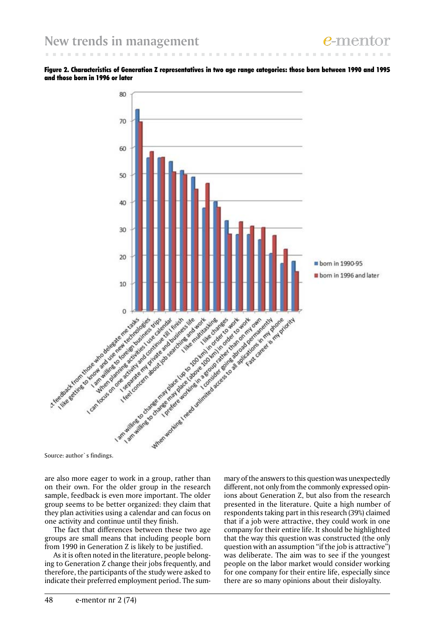Figure 2. Characteristics of Generation Z representatives in two age range categories: those born between 1990 and 1995 and those born in 1996 or later



are also more eager to work in a group, rather than on their own. For the older group in the research sample, feedback is even more important. The older group seems to be better organized: they claim that they plan activities using a calendar and can focus on one activity and continue until they finish.

The fact that differences between these two age groups are small means that including people born from 1990 in Generation Z is likely to be justified.

As it is often noted in the literature, people belonging to Generation Z change their jobs frequently, and therefore, the participants of the study were asked to indicate their preferred employment period. The summary of the answers to this question was unexpectedly different, not only from the commonly expressed opinions about Generation Z, but also from the research presented in the literature. Quite a high number of respondents taking part in this research (39%) claimed that if a job were attractive, they could work in one company for their entire life. It should be highlighted that the way this question was constructed (the only question with an assumption "if the job is attractive") was deliberate. The aim was to see if the youngest people on the labor market would consider working for one company for their entire life, especially since there are so many opinions about their disloyalty.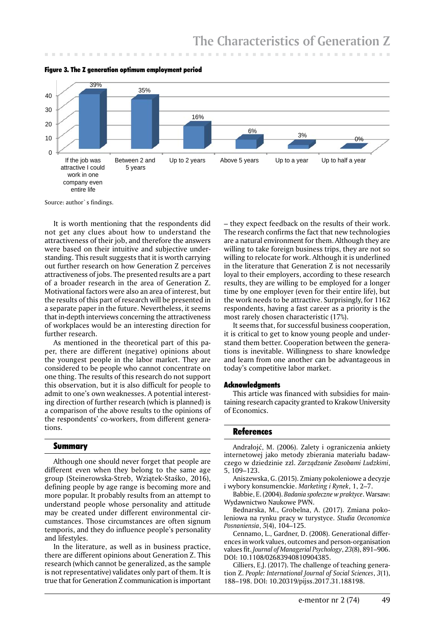

Figure 3. The Z generation optimum employment period

Source: author`s findings.

It is worth mentioning that the respondents did not get any clues about how to understand the attractiveness of their job, and therefore the answers were based on their intuitive and subjective understanding. This result suggests that it is worth carrying out further research on how Generation Z perceives attractiveness of jobs. The presented results are a part of a broader research in the area of Generation Z. Motivational factors were also an area of interest, but the results of this part of research will be presented in a separate paper in the future. Nevertheless, it seems that in-depth interviews concerning the attractiveness of workplaces would be an interesting direction for further research.

As mentioned in the theoretical part of this paper, there are different (negative) opinions about the youngest people in the labor market. They are considered to be people who cannot concentrate on one thing. The results of this research do not support this observation, but it is also difficult for people to admit to one's own weaknesses. A potential interesting direction of further research (which is planned) is a comparison of the above results to the opinions of the respondents' co-workers, from different generations.

#### Summary

Although one should never forget that people are different even when they belong to the same age group (Steinerowska-Streb, Wziątek-Staśko, 2016), defining people by age range is becoming more and more popular. It probably results from an attempt to understand people whose personality and attitude may be created under different environmental circumstances. Those circumstances are often signum temporis, and they do influence people's personality and lifestyles.

In the literature, as well as in business practice, there are different opinions about Generation Z. This research (which cannot be generalized, as the sample is not representative) validates only part of them. It is true that for Generation Z communication is important

– they expect feedback on the results of their work. The research confirms the fact that new technologies are a natural environment for them. Although they are willing to take foreign business trips, they are not so willing to relocate for work. Although it is underlined in the literature that Generation Z is not necessarily loyal to their employers, according to these research results, they are willing to be employed for a longer time by one employer (even for their entire life), but the work needs to be attractive. Surprisingly, for 1162 respondents, having a fast career as a priority is the most rarely chosen characteristic (17%).

It seems that, for successful business cooperation, it is critical to get to know young people and understand them better. Cooperation between the generations is inevitable. Willingness to share knowledge and learn from one another can be advantageous in today's competitive labor market.

#### **Acknowledgments**

This article was financed with subsidies for maintaining research capacity granted to Krakow University of Economics.

#### **References**

Andrałojć, M. (2006). Zalety i ograniczenia ankiety internetowej jako metody zbierania materiału badawczego w dziedzinie zzl. *Zarządzanie Zasobami Ludzkimi*, 5, 109–123.

Aniszewska, G. (2015). Zmiany pokoleniowe a decyzje i wybory konsumenckie. *Marketing i Rynek*, 1, 2–7.

Babbie, E. (2004). *Badania społeczne w praktyce*. Warsaw: Wydawnictwo Naukowe PWN.

Bednarska, M., Grobelna, A. (2017). Zmiana pokoleniowa na rynku pracy w turystyce. *Studia Oeconomica Posnaniensia*, *5*(4), 104–125.

Cennamo, L., Gardner, D. (2008). Generational differences in work values, outcomes and person-organisation values fit. *Journal of Managerial Psychology*, *23*(8), 891–906. DOI: 10.1108/02683940810904385.

Cilliers, E.J. (2017). The challenge of teaching generation Z. *People: International Journal of Social Sciences*, *3*(1), 188–198. DOI: 10.20319/pijss.2017.31.188198.